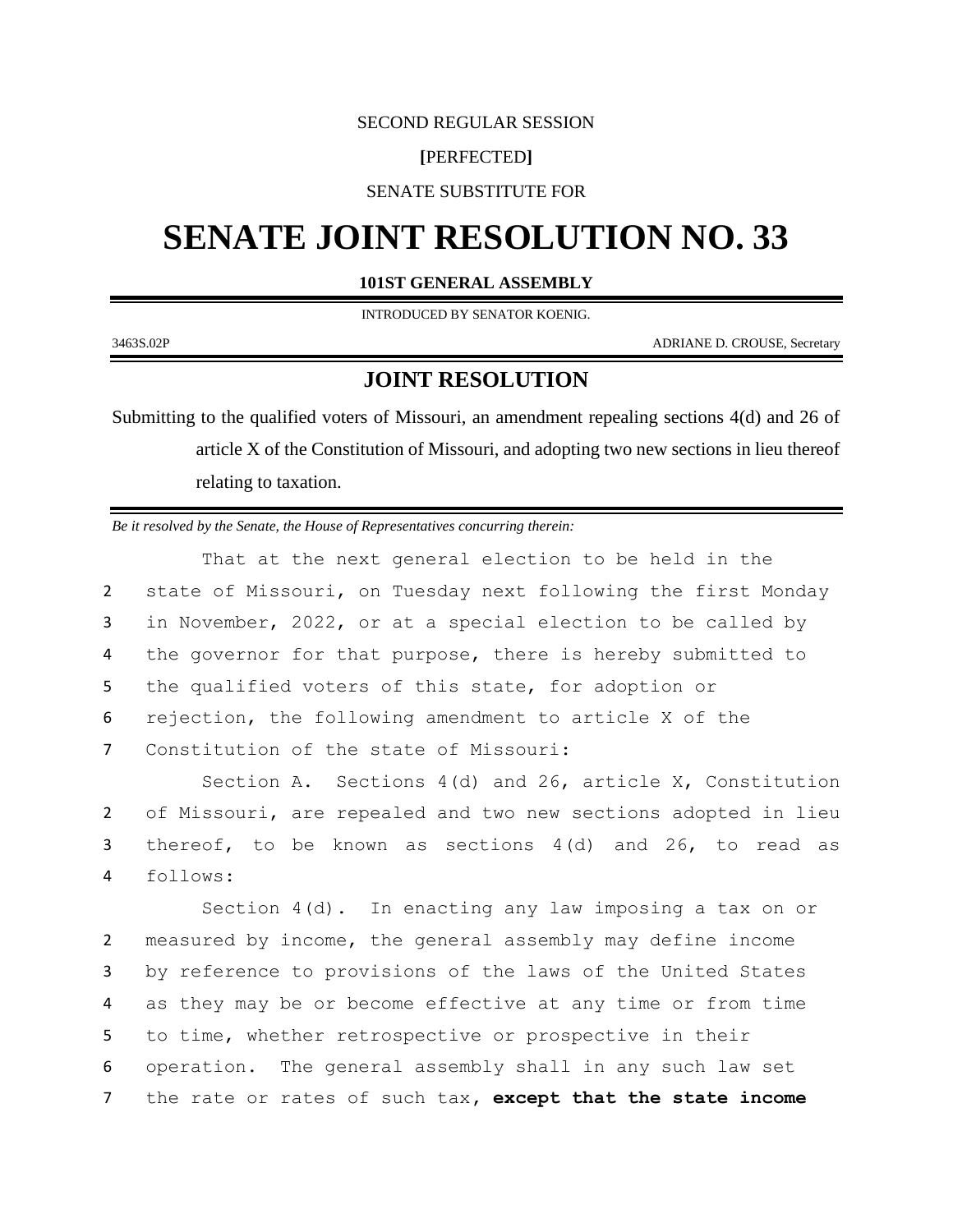#### SECOND REGULAR SESSION

## **[**PERFECTED**]**

SENATE SUBSTITUTE FOR

# **SENATE JOINT RESOLUTION NO. 33**

## **101ST GENERAL ASSEMBLY**

INTRODUCED BY SENATOR KOENIG.

3463S.02P ADRIANE D. CROUSE, Secretary

# **JOINT RESOLUTION**

Submitting to the qualified voters of Missouri, an amendment repealing sections 4(d) and 26 of article X of the Constitution of Missouri, and adopting two new sections in lieu thereof relating to taxation.

*Be it resolved by the Senate, the House of Representatives concurring therein:*

That at the next general election to be held in the state of Missouri, on Tuesday next following the first Monday in November, 2022, or at a special election to be called by 4 the governor for that purpose, there is hereby submitted to the qualified voters of this state, for adoption or rejection, the following amendment to article X of the Constitution of the state of Missouri:

Section A. Sections 4(d) and 26, article X, Constitution 2 of Missouri, are repealed and two new sections adopted in lieu 3 thereof, to be known as sections 4(d) and 26, to read as 4 follows:

Section  $4(d)$ . In enacting any law imposing a tax on or measured by income, the general assembly may define income by reference to provisions of the laws of the United States as they may be or become effective at any time or from time to time, whether retrospective or prospective in their operation. The general assembly shall in any such law set the rate or rates of such tax**, except that the state income**